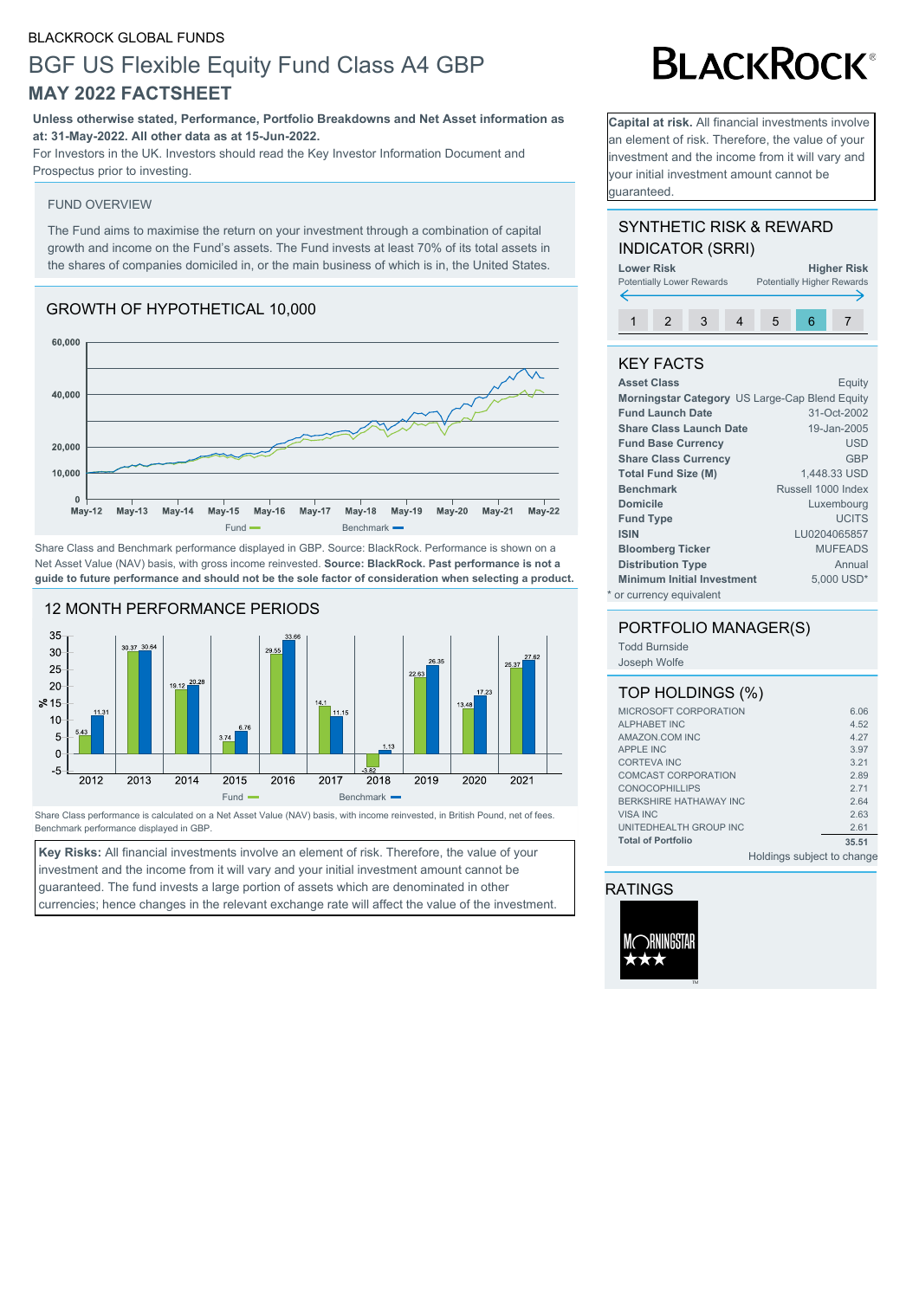#### BLACKROCK GLOBAL FUNDS

# BGF US Flexible Equity Fund Class A4 GBP **MAY 2022 FACTSHEET**

**Unless otherwise stated, Performance, Portfolio Breakdowns and Net Asset information as at: 31-May-2022. All other data as at 15-Jun-2022.**

For Investors in the UK. Investors should read the Key Investor Information Document and Prospectus prior to investing.

#### FUND OVERVIEW

The Fund aims to maximise the return on your investment through a combination of capital growth and income on the Fund's assets. The Fund invests at least 70% of its total assets in the shares of companies domiciled in, or the main business of which is in, the United States.

#### GROWTH OF HYPOTHETICAL 10,000



Share Class and Benchmark performance displayed in GBP. Source: BlackRock. Performance is shown on a Net Asset Value (NAV) basis, with gross income reinvested. **Source: BlackRock. Past performance is not a guide to future performance and should not be the sole factor of consideration when selecting a product.**



Share Class performance is calculated on a Net Asset Value (NAV) basis, with income reinvested, in British Pound, net of fees. Benchmark performance displayed in GBP.

**Key Risks:** All financial investments involve an element of risk. Therefore, the value of your investment and the income from it will vary and your initial investment amount cannot be guaranteed. The fund invests a large portion of assets which are denominated in other currencies; hence changes in the relevant exchange rate will affect the value of the investment.

# **BLACKROCK®**

**Capital at risk.** All financial investments involve an element of risk. Therefore, the value of your investment and the income from it will vary and your initial investment amount cannot be guaranteed.

## SYNTHETIC RISK & REWARD INDICATOR (SRRI)



## KEY FACTS

| <b>Asset Class</b>                | Equity                                         |
|-----------------------------------|------------------------------------------------|
|                                   | Morningstar Category US Large-Cap Blend Equity |
| <b>Fund Launch Date</b>           | 31-Oct-2002                                    |
| <b>Share Class Launch Date</b>    | 19-Jan-2005                                    |
| <b>Fund Base Currency</b>         | <b>USD</b>                                     |
| <b>Share Class Currency</b>       | GBP                                            |
| <b>Total Fund Size (M)</b>        | 1.448.33 USD                                   |
| <b>Benchmark</b>                  | Russell 1000 Index                             |
| <b>Domicile</b>                   | Luxembourg                                     |
| <b>Fund Type</b>                  | <b>UCITS</b>                                   |
| <b>ISIN</b>                       | LU0204065857                                   |
| <b>Bloomberg Ticker</b>           | <b>MUFEADS</b>                                 |
| <b>Distribution Type</b>          | Annual                                         |
| <b>Minimum Initial Investment</b> | 5.000 USD*                                     |
| * or currency equivalent          |                                                |

#### PORTFOLIO MANAGER(S)

Todd Burnside Joseph Wolfe

#### TOP HOLDINGS (%)

|                               | the field of the company of the set of the company of the company of the company of the company of the company of the company of the company of the company of the company of the company of the company of the company of the |  |
|-------------------------------|--------------------------------------------------------------------------------------------------------------------------------------------------------------------------------------------------------------------------------|--|
| <b>Total of Portfolio</b>     | 35.51                                                                                                                                                                                                                          |  |
| UNITEDHEALTH GROUP INC        | 2.61                                                                                                                                                                                                                           |  |
| <b>VISA INC</b>               | 2.63                                                                                                                                                                                                                           |  |
| <b>BERKSHIRE HATHAWAY INC</b> | 2.64                                                                                                                                                                                                                           |  |
| <b>CONOCOPHILLIPS</b>         | 2.71                                                                                                                                                                                                                           |  |
| <b>COMCAST CORPORATION</b>    | 2.89                                                                                                                                                                                                                           |  |
| <b>CORTEVA INC</b>            | 3.21                                                                                                                                                                                                                           |  |
| <b>APPLE INC</b>              | 3.97                                                                                                                                                                                                                           |  |
| AMAZON.COM INC                | 4.27                                                                                                                                                                                                                           |  |
| <b>ALPHABET INC</b>           | 4.52                                                                                                                                                                                                                           |  |
| MICROSOFT CORPORATION         | 6.06                                                                                                                                                                                                                           |  |
|                               |                                                                                                                                                                                                                                |  |

Holdings subject to change

## RATINGS

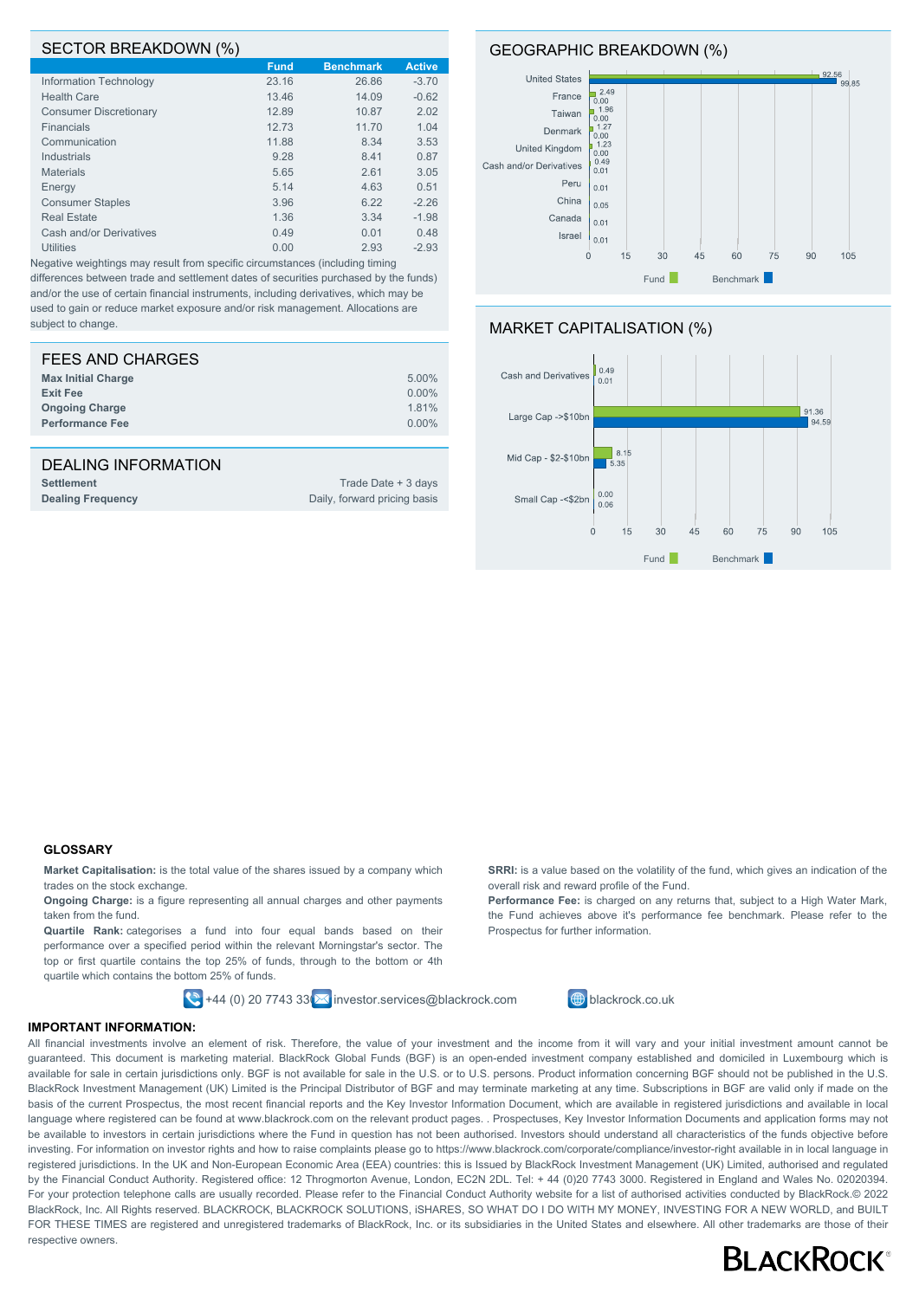#### SECTOR BREAKDOWN (%)

|                               | <b>Fund</b> | <b>Benchmark</b> | <b>Active</b> |
|-------------------------------|-------------|------------------|---------------|
| Information Technology        | 23.16       | 26.86            | $-3.70$       |
| <b>Health Care</b>            | 13.46       | 14.09            | $-0.62$       |
| <b>Consumer Discretionary</b> | 12.89       | 10.87            | 2.02          |
| Financials                    | 12.73       | 11.70            | 1.04          |
| Communication                 | 11.88       | 8.34             | 3.53          |
| Industrials                   | 9.28        | 8.41             | 0.87          |
| <b>Materials</b>              | 5.65        | 2.61             | 3.05          |
| Energy                        | 5.14        | 4.63             | 0.51          |
| <b>Consumer Staples</b>       | 3.96        | 6.22             | $-2.26$       |
| <b>Real Estate</b>            | 1.36        | 3.34             | $-1.98$       |
| Cash and/or Derivatives       | 0.49        | 0.01             | 0.48          |
| <b>Utilities</b>              | 0.00        | 2.93             | $-2.93$       |
|                               |             |                  |               |

Negative weightings may result from specific circumstances (including timing differences between trade and settlement dates of securities purchased by the funds) and/or the use of certain financial instruments, including derivatives, which may be used to gain or reduce market exposure and/or risk management. Allocations are subject to change.

| FEES AND CHARGES          |          |
|---------------------------|----------|
| <b>Max Initial Charge</b> | 5.00%    |
| <b>Exit Fee</b>           | $0.00\%$ |
| <b>Ongoing Charge</b>     | 1.81%    |
| <b>Performance Fee</b>    | $0.00\%$ |
|                           |          |

#### DEALING INFORMATION

| <b>Settlement</b>        | Trade Date + 3 days          |
|--------------------------|------------------------------|
| <b>Dealing Frequency</b> | Daily, forward pricing basis |

#### GEOGRAPHIC BREAKDOWN (%)







#### **GLOSSARY**

**Market Capitalisation:** is the total value of the shares issued by a company which trades on the stock exchange.

**Ongoing Charge:** is a figure representing all annual charges and other payments taken from the fund.

**Quartile Rank:** categorises a fund into four equal bands based on their performance over a specified period within the relevant Morningstar's sector. The top or first quartile contains the top 25% of funds, through to the bottom or 4th quartile which contains the bottom 25% of funds.

 $\left| \bigotimes \right|$ +44 (0) 20 7743 33 $\left| \bigotimes$  investor.services@blackrock.com  $\left| \bigoplus \right|$  blackrock.co.uk

**SRRI:** is a value based on the volatility of the fund, which gives an indication of the overall risk and reward profile of the Fund.

**Performance Fee:** is charged on any returns that, subject to a High Water Mark, the Fund achieves above it's performance fee benchmark. Please refer to the Prospectus for further information.



#### **IMPORTANT INFORMATION:**

All financial investments involve an element of risk. Therefore, the value of your investment and the income from it will vary and your initial investment amount cannot be guaranteed. This document is marketing material. BlackRock Global Funds (BGF) is an open-ended investment company established and domiciled in Luxembourg which is available for sale in certain jurisdictions only. BGF is not available for sale in the U.S. or to U.S. persons. Product information concerning BGF should not be published in the U.S. BlackRock Investment Management (UK) Limited is the Principal Distributor of BGF and may terminate marketing at any time. Subscriptions in BGF are valid only if made on the basis of the current Prospectus, the most recent financial reports and the Key Investor Information Document, which are available in registered jurisdictions and available in local language where registered can be found at www.blackrock.com on the relevant product pages. . Prospectuses, Key Investor Information Documents and application forms may not be available to investors in certain jurisdictions where the Fund in question has not been authorised. Investors should understand all characteristics of the funds objective before investing. For information on investor rights and how to raise complaints please go to https://www.blackrock.com/corporate/compliance/investor-right available in in local language in registered jurisdictions. In the UK and Non-European Economic Area (EEA) countries: this is Issued by BlackRock Investment Management (UK) Limited, authorised and regulated by the Financial Conduct Authority. Registered office: 12 Throgmorton Avenue, London, EC2N 2DL. Tel: + 44 (0)20 7743 3000. Registered in England and Wales No. 02020394. For your protection telephone calls are usually recorded. Please refer to the Financial Conduct Authority website for a list of authorised activities conducted by BlackRock.© 2022 BlackRock, Inc. All Rights reserved. BLACKROCK, BLACKROCK SOLUTIONS, iSHARES, SO WHAT DO I DO WITH MY MONEY, INVESTING FOR A NEW WORLD, and BUILT FOR THESE TIMES are registered and unregistered trademarks of BlackRock, Inc. or its subsidiaries in the United States and elsewhere. All other trademarks are those of their respective owners.